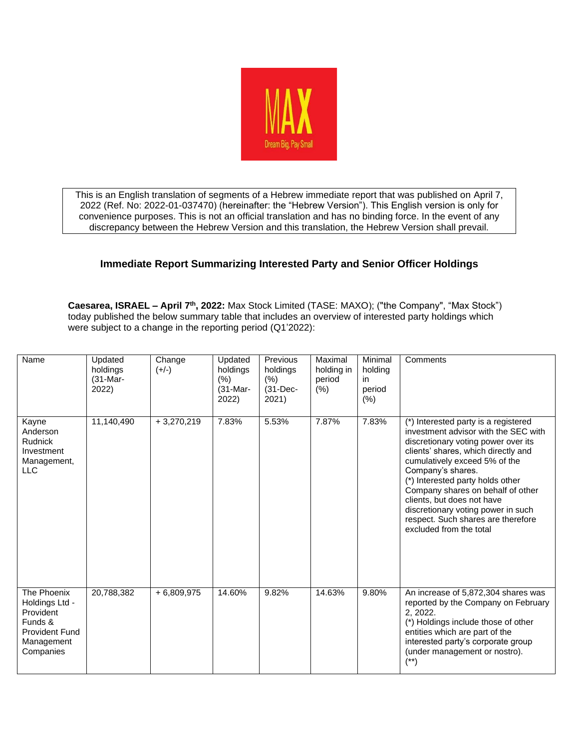

This is an English translation of segments of a Hebrew immediate report that was published on April 7, 2022 (Ref. No: 2022-01-037470) (hereinafter: the "Hebrew Version"). This English version is only for convenience purposes. This is not an official translation and has no binding force. In the event of any discrepancy between the Hebrew Version and this translation, the Hebrew Version shall prevail.

## **Immediate Report Summarizing Interested Party and Senior Officer Holdings**

**Caesarea, ISRAEL – April 7 th, 2022:** Max Stock Limited (TASE: MAXO(; )"the Company", "Max Stock") today published the below summary table that includes an overview of interested party holdings which were subject to a change in the reporting period (Q1'2022):

| Name                                                                                               | Updated<br>holdings<br>$(31-Mar-$<br>2022) | Change<br>$(+/-)$ | Updated<br>holdings<br>(% )<br>$(31-Mar-$<br>2022) | Previous<br>holdings<br>(% )<br>$(31-Dec-$<br>2021) | Maximal<br>holding in<br>period<br>(% ) | Minimal<br>holding<br>in<br>period<br>(% ) | Comments                                                                                                                                                                                                                                                                                                                                                                                                                       |
|----------------------------------------------------------------------------------------------------|--------------------------------------------|-------------------|----------------------------------------------------|-----------------------------------------------------|-----------------------------------------|--------------------------------------------|--------------------------------------------------------------------------------------------------------------------------------------------------------------------------------------------------------------------------------------------------------------------------------------------------------------------------------------------------------------------------------------------------------------------------------|
| Kayne<br>Anderson<br><b>Rudnick</b><br>Investment<br>Management,<br><b>LLC</b>                     | 11,140,490                                 | $+3,270,219$      | 7.83%                                              | 5.53%                                               | 7.87%                                   | 7.83%                                      | (*) Interested party is a registered<br>investment advisor with the SEC with<br>discretionary voting power over its<br>clients' shares, which directly and<br>cumulatively exceed 5% of the<br>Company's shares.<br>(*) Interested party holds other<br>Company shares on behalf of other<br>clients, but does not have<br>discretionary voting power in such<br>respect. Such shares are therefore<br>excluded from the total |
| The Phoenix<br>Holdings Ltd -<br>Provident<br>Funds &<br>Provident Fund<br>Management<br>Companies | 20,788,382                                 | $+6,809,975$      | 14.60%                                             | 9.82%                                               | 14.63%                                  | 9.80%                                      | An increase of 5,872,304 shares was<br>reported by the Company on February<br>2, 2022.<br>(*) Holdings include those of other<br>entities which are part of the<br>interested party's corporate group<br>(under management or nostro).<br>$(**)$                                                                                                                                                                               |